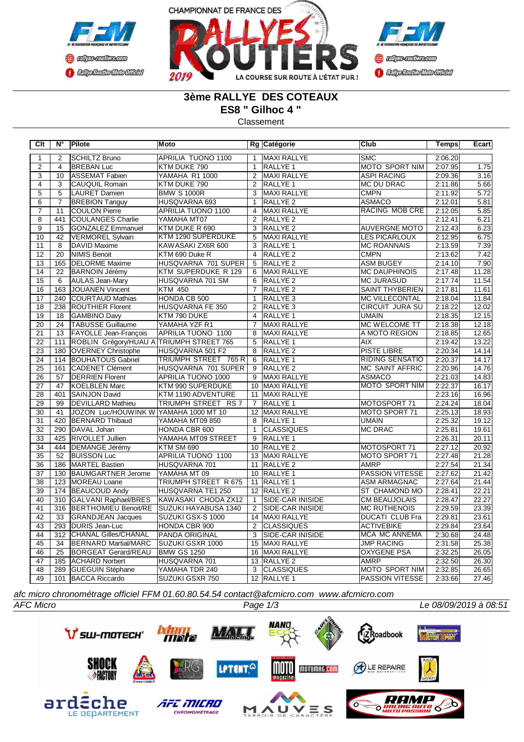



## **3ème RALLYE DES COTEAUX**

**ES8 " Gilhoc 4 "**

Classement

| Clt             | N°               | Pilote                                   | Moto                      |                 | Rg Catégorie            | <b>Club</b>            | Temps   | Ecart |
|-----------------|------------------|------------------------------------------|---------------------------|-----------------|-------------------------|------------------------|---------|-------|
| 1               | $\overline{2}$   | <b>SCHILTZ Bruno</b>                     | <b>APRILIA TUONO 1100</b> | $\mathbf{1}$    | <b>MAXI RALLYE</b>      | <b>SMC</b>             | 2:06.20 |       |
| $\overline{2}$  | $\overline{4}$   | <b>BREBAN Luc</b>                        | KTM DUKE 790              | $\mathbf{1}$    | RALLYE <sub>1</sub>     | <b>MOTO SPORT NIM</b>  | 2:07.95 | 1.75  |
| $\overline{3}$  | 10               | ASSEMAT Fabien                           | YAMAHA R1 1000            | 2               | <b>MAXI RALLYE</b>      | <b>ASPI RACING</b>     | 2:09.36 | 3.16  |
| $\overline{4}$  | $\overline{3}$   | <b>CAUQUIL Romain</b>                    | KTM DUKE 790              | $\overline{2}$  | RALLYE 1                | <b>MC DU DRAC</b>      | 2:11.86 | 5.66  |
| $\overline{5}$  | 5                | LAURET Damien                            | <b>BMW S 1000R</b>        | 3               | MAXI RALLYE             | <b>CMPN</b>            | 2:11.92 | 5.72  |
| $\overline{6}$  | $\overline{7}$   | <b>BREBION Tanguy</b>                    | HUSQVARNA 693             | $\mathbf{1}$    | RALLYE <sub>2</sub>     | <b>ASMACO</b>          | 2:12.01 | 5.81  |
| $\overline{7}$  | 11               | <b>COULON Pierre</b>                     | APRILIA TUONO 1100        | 4               | <b>MAXI RALLYE</b>      | <b>RACING MOB CRE</b>  | 2:12.05 | 5.85  |
| $\overline{8}$  | 441              | <b>COULANGES Charlie</b>                 | YAMAHA MT07               | $\overline{2}$  | <b>RALLYE 2</b>         |                        | 2:12.41 | 6.21  |
| $\overline{9}$  | 15               | <b>GONZALEZ Emmanuel</b>                 | KTM DUKE R 690            | 3               | <b>RALLYE 2</b>         | <b>AUVERGNE MOTO</b>   | 2:12.43 | 6.23  |
| 10              | 42               | <b>VERMOREL Sylvain</b>                  | KTM 1290 SUPERDUKE        | 5               | <b>MAXI RALLYE</b>      | <b>LES PICARLOUX</b>   | 2:12.95 | 6.75  |
| 11              | 8                | DAVID Maxime                             | KAWASAKI ZX6R 600         | 3               | RALLYE <sub>1</sub>     | <b>MC ROANNAIS</b>     | 2:13.59 | 7.39  |
| $\overline{12}$ | $\overline{20}$  | NIMIS Benoit                             | KTM 690 Duke R            | $\overline{4}$  | <b>RALLYE 2</b>         | <b>CMPN</b>            | 2:13.62 | 7.42  |
| $\overline{13}$ | 165              | <b>DELORME Maxime</b>                    | HUSQVARNA 701 SUPER       | 5               | <b>RALLYE 2</b>         | <b>ASM BUGEY</b>       | 2:14.10 | 7.90  |
| 14              | 22               | <b>BARNOIN Jérémy</b>                    | KTM SUPERDUKE R 129       | 6               | MAXI RALLYE             | <b>MC DAUPHINOIS</b>   | 2:17.48 | 11.28 |
| $\overline{15}$ | $\overline{6}$   | <b>AULAS Jean-Mary</b>                   | HUSQVARNA 701 SM          | 6               | <b>RALLYE 2</b>         | <b>MC JURASUD</b>      | 2:17.74 | 11.54 |
| $\overline{16}$ | 163              | JOUANEN Vincent                          | <b>KTM 450</b>            | $\overline{7}$  | <b>RALLYE 2</b>         | <b>SAINT THYBERIEN</b> | 2:17.81 | 11.61 |
| 17              | 240              | COURTAUD Mathias                         | HONDA CB 500              | $\mathbf{1}$    | RALLYE <sub>3</sub>     | <b>MC VILLECONTAL</b>  | 2:18.04 | 11.84 |
| $\overline{18}$ | 238              | <b>ROUTHIER Florent</b>                  | <b>HUSQVARNA FE 350</b>   | $\overline{2}$  | RALLYE <sub>3</sub>     | <b>CIRCUIT JURA SU</b> | 2:18.22 | 12.02 |
| $\overline{19}$ | 18               | GAMBINO Davy                             | KTM 790 DUKE              | $\overline{4}$  | <b>RALLYE 1</b>         | <b>UMAIN</b>           | 2:18.35 | 12.15 |
| 20              | 24               | <b>TABUSSE Guillaume</b>                 | YAMAHA YZF R1             | $\overline{7}$  | <b>MAXI RALLYE</b>      | MC WELCOME TT          | 2:18.38 | 12.18 |
| $\overline{21}$ | 13               | <b>FAYOLLE Jean-François</b>             | APRILIA TUONO 1100        | 8               | <b>MAXI RALLYE</b>      | A MOTO REGION          | 2:18.85 | 12.65 |
| $\overline{22}$ | 111              | ROBLIN Grégory/HUAU A TRIUMPH STREET 765 |                           | 5               | RALLYE <sub>1</sub>     | <b>AIX</b>             | 2:19.42 | 13.22 |
| 23              | 180              | <b>OVERNEY Christophe</b>                | HUSQVARNA 501 F2          | $\overline{8}$  | <b>RALLYE 2</b>         | <b>PISTE LIBRE</b>     | 2:20.34 | 14.14 |
| $\overline{24}$ | 114              | <b>BOUHATOUS Gabriel</b>                 | TRIUMPH STREET 765 R      | 6               | <b>RALLYE 1</b>         | <b>RIDING SENSATIO</b> | 2:20.37 | 14.17 |
| $\overline{25}$ | 161              | <b>CADENET Clément</b>                   | HUSQVARNA 701 SUPER       | 9               | <b>RALLYE 2</b>         | <b>MC SAINT AFFRIC</b> | 2:20.96 | 14.76 |
| $\overline{26}$ | 57               | <b>DERRIEN Florent</b>                   | APRILIA TUONO 1000        | 9               | MAXI RALLYE             | <b>ASMACO</b>          | 2:21.03 | 14.83 |
| 27              | 47               | KOELBLEN Marc                            | KTM 990 SUPERDUKE         | 10              | <b>MAXI RALLYE</b>      | <b>MOTO SPORT NIM</b>  | 2:22.37 | 16.17 |
| 28              | 401              | SAINJON David                            | KTM 1190 ADVENTURE        | 11              | MAXI RALLYE             |                        | 2:23.16 | 16.96 |
| 29              | 99               | <b>DEVILLARD Mathieu</b>                 | TRIUMPH STREET RS 7       | $\overline{7}$  | RALLYE <sub>1</sub>     | MOTOSPORT 71           | 2:24.24 | 18.04 |
| 30              | 41               | JOZON Luc/HOUWINK W YAMAHA 1000 MT 10    |                           |                 | 12 MAXI RALLYE          | MOTO SPORT 71          | 2:25.13 | 18.93 |
| $\overline{31}$ | 420              | <b>BERNARD Thibaud</b>                   | YAMAHA MT09 850           | 8               | RALLYE 1                | <b>UMAIN</b>           | 2:25.32 | 19.12 |
| $\overline{32}$ | 290              | DAVAL Johan                              | HONDA CBR 600             | $\mathbf{1}$    | <b>CLASSIQUES</b>       | <b>MC DRAC</b>         | 2:25.81 | 19.61 |
| $\overline{33}$ | 425              | <b>RIVOLLET Jullien</b>                  | YAMAHA MT09 STREET        | $\overline{9}$  | <b>RALLYE 1</b>         |                        | 2:26.31 | 20.11 |
| $\overline{34}$ | 444              | DEMANGE Jérémy                           | <b>KTM SM 690</b>         | 10 <sup>1</sup> | <b>RALLYE 2</b>         | MOTOSPORT 71           | 2:27.12 | 20.92 |
| $\overline{35}$ | 52               | <b>BUISSON Luc</b>                       | APRILIA TUONO 1100        |                 | 13 MAXI RALLYE          | MOTO SPORT 71          | 2:27.48 | 21.28 |
| $\overline{36}$ | 186              | <b>MARTEL Bastien</b>                    | HUSQVARNA 701             |                 | 11 RALLYE 2             | <b>AMRP</b>            | 2:27.54 | 21.34 |
| 37              | 130              | BAUMGARTNER Jerome                       | YAMAHA MT 09              |                 | 10 RALLYE 1             | <b>PASSION VITESSE</b> | 2:27.62 | 21.42 |
| $\overline{38}$ | 123              | MOREAU Loane                             | TRIUMPH STREET R 675      |                 | 11 RALLYE 1             | <b>ASM ARMAGNAC</b>    | 2:27.64 | 21.44 |
| 39              | 174              | <b>BEAUCOUD Andy</b>                     | HUSQVARNA TE1 250         |                 | 12 RALLYE 2             | ST CHAMOND MO          | 2:28.41 | 22.21 |
| 40              | 310              | GALVANI Raphael/BRES                     | KAWASAKI CHODA ZX12       | $\mathbf{1}$    | SIDE-CAR INISIDE        | <b>CM BEAUJOLAIS</b>   | 2:28.47 | 22.27 |
| 41              | $\overline{316}$ | BERTHOMIEU Benoit/RE                     | SUZUKI HAYABUSA 1340      | $\overline{2}$  | <b>SIDE-CAR INISIDE</b> | <b>MC RUTHENOIS</b>    | 2:29.59 | 23.39 |
| $\overline{42}$ | 33               | <b>GRANDJEAN Jacques</b>                 | SUZUKI GSX-S 1000         |                 | 14 MAXI RALLYE          | <b>DUCATI CLUB Fra</b> | 2:29.81 | 23.61 |
| 43              | 293              | DURIS Jean-Luc                           | HONDA CBR 900             | $\overline{2}$  | <b>CLASSIQUES</b>       | <b>ACTIVEBIKE</b>      | 2:29.84 | 23.64 |
| 44              | 312              | <b>CHANAL Gilles/CHANAL</b>              | PANDA ORIGINAL            | $\overline{3}$  | <b>SIDE-CAR INISIDE</b> | <b>MCA MC ANNEMA</b>   | 2:30.68 | 24.48 |
| 45              | 34               | <b>BERNARD Martial/MARC</b>              | SUZUKI GSXR 1000          | 15              | MAXI RALLYE             | <b>JMP RACING</b>      | 2:31.58 | 25.38 |
| 46              | $\overline{25}$  | <b>BORGEAT Gerard/REAU</b>               | <b>BMW GS 1250</b>        | 16              | <b>MAXI RALLYE</b>      | <b>OXYGENE PSA</b>     | 2:32.25 | 26.05 |
| 47              | 185              | <b>ACHARD Norbert</b>                    | HUSQVARNA 701             | 13              | RALLYE <sub>2</sub>     | <b>AMRP</b>            | 2:32.50 | 26.30 |
| 48              | 289              | GUEGUIN Stéphane                         | YAMAHA TDR 240            | 3               | <b>CLASSIQUES</b>       | <b>MOTO SPORT NIM</b>  | 2:32.85 | 26.65 |
| 49              | 101              | <b>BACCA Riccardo</b>                    | SUZUKI GSXR 750           |                 | 12 RALLYE 1             | PASSION VITESSE        | 2:33.66 | 27.46 |

*afc micro chronométrage officiel FFM 01.60.80.54.54 contact@afcmicro.com www.afcmicro.com*

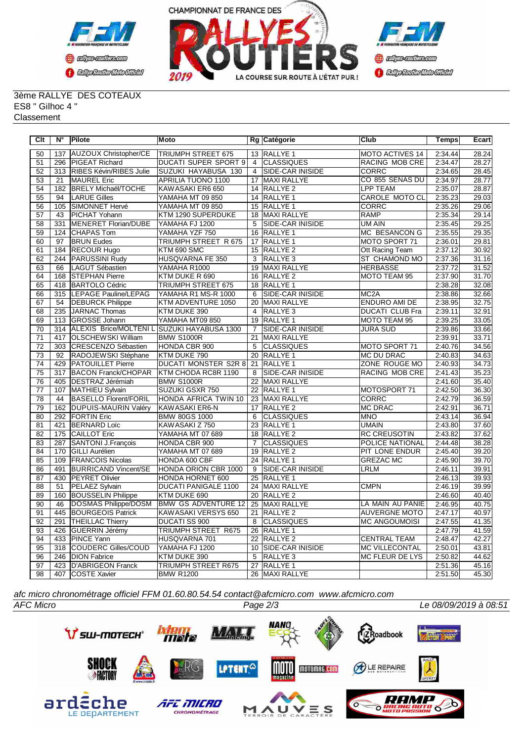



3ème RALLYE DES COTEAUX ES8 " Gilhoc 4 " **Classement** 

| $\overline{C}$ It | N°               | <b>Pilote</b>                               | Moto                        |                 | Rg Catégorie            | Club                   | <b>Temps</b> | Ecart |
|-------------------|------------------|---------------------------------------------|-----------------------------|-----------------|-------------------------|------------------------|--------------|-------|
| 50                | 137              | <b>AUZOUX Christopher/CE</b>                | <b>TRIUMPH STREET 675</b>   |                 | 13 RALLYE 1             | <b>MOTO ACTIVES 14</b> | 2:34.44      | 28.24 |
| 51                | 296              | <b>PIGEAT Richard</b>                       | <b>DUCATI SUPER SPORT 9</b> | $\overline{4}$  | <b>ICLASSIQUES</b>      | RACING MOB CRE         | 2:34.47      | 28.27 |
| $\overline{52}$   | $\overline{313}$ | RIBES Kévin/RIBES Julie                     | SUZUKI HAYABUSA 130         | $\overline{4}$  | <b>SIDE-CAR INISIDE</b> | <b>CORRC</b>           | 2:34.65      | 28.45 |
| 53                | 21               | <b>MAUREL</b> Eric                          | APRILIA TUONO 1100          | 17              | MAXI RALLYE             | CO 855 SENAS DU        | 2:34.97      | 28.77 |
| $\overline{54}$   | 182              | <b>BRELY Michaël/TOCHE</b>                  | KAWASAKI ER6 650            |                 | 14 RALLYE 2             | <b>LPP TEAM</b>        | 2:35.07      | 28.87 |
| 55                | 94               | <b>LARUE Gilles</b>                         | YAMAHA MT 09 850            |                 | 14 RALLYE 1             | CAROLE MOTO CL         | 2:35.23      | 29.03 |
| 56                | 105              | SIMONNET Hervé                              | YAMAHA MT 09 850            |                 | 15 RALLYE 1             | CORRC                  | 2:35.26      | 29.06 |
| 57                | 43               | PICHAT Yohann                               | KTM 1290 SUPERDUKE          | 18              | <b>MAXI RALLYE</b>      | <b>RAMP</b>            | 2:35.34      | 29.14 |
| $\overline{58}$   | 331              | MENERET Florian/DUBE                        | YAMAHA FJ 1200              | $\overline{5}$  | SIDE-CAR INISIDE        | UM AIN                 | 2:35.45      | 29.25 |
| 59                | 124              | <b>CHAPAS Tom</b>                           | YAMAHA YZF 750              | 16              | <b>RALLYE 1</b>         | <b>MC BESANCON G</b>   | 2:35.55      | 29.35 |
| 60                | 97               | <b>BRUN Eudes</b>                           | TRIUMPH STREET R 675        |                 | 17 RALLYE 1             | MOTO SPORT 71          | 2:36.01      | 29.81 |
| 61                | 184              | <b>RECOUR Hugo</b>                          | KTM 690 SMC                 |                 | 15 RALLYE 2             | Ott Racing Team        | 2:37.12      | 30.92 |
| 62                | 244              | PARUSSINI Rudy                              | HUSQVARNA FE 350            | $\overline{3}$  | RALLYE <sub>3</sub>     | ST CHAMOND MO          | 2:37.36      | 31.16 |
| 63                | 66               | LAGUT Sébastien                             | YAMAHA R1000                | 19              | <b>MAXI RALLYE</b>      | <b>HERBASSE</b>        | 2:37.72      | 31.52 |
| 64                | 168              | <b>STEPHAN Pierre</b>                       | KTM DUKE R 690              |                 | 16 RALLYE 2             | MOTO TEAM 95           | 2:37.90      | 31.70 |
| 65                | 418              | <b>BARTOLO Cédric</b>                       | TRIUMPH STREET 675          | 18              | <b>RALLYE 1</b>         |                        | 2:38.28      | 32.08 |
| 66                | 315              | LEPAGE Pauline/LEPAG                        | YAMAHA R1 MS-R 1000         | 6               | <b>SIDE-CAR INISIDE</b> | MC <sub>2</sub> A      | 2:38.86      | 32.66 |
| 67                | 54               | <b>DEBURCK Philippe</b>                     | KTM ADVENTURE 1050          | $\overline{20}$ | <b>MAXI RALLYE</b>      | <b>ENDURO AMI DE</b>   | 2:38.95      | 32.75 |
| 68                | 235              | JARNAC Thomas                               | KTM DUKE 390                | $\overline{4}$  | RALLYE <sub>3</sub>     | <b>DUCATI CLUB Fra</b> | 2:39.11      | 32.91 |
| 69                | 113              | GROSSE Johann                               | YAMAHA MT09 850             | 19              | RALLYE <sub>1</sub>     | MOTO TEAM 95           | 2:39.25      | 33.05 |
| 70                | 314              | ALEXIS Brice/MOLTENI L SUZUKI HAYABUSA 1300 |                             | 7               | SIDE-CAR INISIDE        | JURA SUD               | 2:39.86      | 33.66 |
| $\overline{71}$   | 417              | OLSCHEWSKI William                          | <b>BMW S1000R</b>           | $\overline{21}$ | <b>MAXI RALLYE</b>      |                        | 2:39.91      | 33.71 |
| 72                | 303              | CRESCENZO Sébastien                         | HONDA CBR 900               | 5               | <b>CLASSIQUES</b>       | MOTO SPORT 71          | 2:40.76      | 34.56 |
| 73                | 92               | RADOJEWSKI Stéphane                         | KTM DUKE 790                |                 | 20 RALLYE 1             | <b>MC DU DRAC</b>      | 2:40.83      | 34.63 |
| 74                | 429              | <b>PATOUILLET</b> Pierre                    | <b>DUCATI MONSTER S2R 8</b> | 21              | <b>RALLYE 1</b>         | ZONE ROUGE MO          | 2:40.93      | 34.73 |
| $\overline{75}$   | 317              | <b>BACON Franck/CHOPAR</b>                  | KTM CHODA RC8R 1190         | 8               | <b>SIDE-CAR INISIDE</b> | RACING MOB CRE         | 2:41.43      | 35.23 |
| 76                | 405              | DESTRAZ Jérémiah                            | <b>BMW S1000R</b>           | $\overline{22}$ | <b>MAXI RALLYE</b>      |                        | 2:41.60      | 35.40 |
| $\overline{77}$   | 107              | MATHIEU Sylvain                             | SUZUKI GSXR 750             |                 | 22 RALLYE 1             | MOTOSPORT 71           | 2:42.50      | 36.30 |
| $\overline{78}$   | 44               | <b>BASELLO Florent/FORIL</b>                | HONDA AFRICA TWIN 10        | $\overline{23}$ | <b>MAXI RALLYE</b>      | <b>CORRC</b>           | 2:42.79      | 36.59 |
| 79                | 162              | DUPUIS-MAURIN Valéry                        | KAWASAKI ER6-N              | 17              | <b>RALLYE 2</b>         | <b>MC DRAC</b>         | 2:42.91      | 36.71 |
| 80                | 292              | <b>FORTIN Eric</b>                          | <b>BMW 80GS 1000</b>        | 6               | <b>CLASSIQUES</b>       | <b>MNO</b>             | 2:43.14      | 36.94 |
| $\overline{81}$   | 421              | <b>BERNARD Loïc</b>                         | KAWASAKI Z 750              | $\overline{23}$ | <b>RALLYE 1</b>         | UMAIN                  | 2:43.80      | 37.60 |
| 82                | 175              | CAILLOT Eric                                | YAMAHA MT 07 689            | 18              | RALLYE <sub>2</sub>     | RC CREUSOTIN           | 2:43.82      | 37.62 |
| 83                | 287              | SANTONI J.François                          | HONDA CBR 900               | 7               | <b>CLASSIQUES</b>       | POLICE NATIONAL        | 2:44.48      | 38.28 |
| 84                | 170              | <b>GILLI Aurélien</b>                       | YAMAHA MT 07 689            |                 | 19 RALLYE 2             | PIT LONE ENDUR         | 2:45.40      | 39.20 |
| 85                | 109              | <b>FRANCOIS Nicolas</b>                     | HONDA 600 CBF               | 24              | RALLYE <sub>1</sub>     | <b>GREZAC MC</b>       | 2:45.90      | 39.70 |
| 86                | 491              | <b>BURRICAND Vincent/SE</b>                 | HONDA ORION CBR 1000        | 9               | <b>SIDE-CAR INISIDE</b> | LRLM                   | 2:46.11      | 39.91 |
| 87                | 430              | <b>PEYRET Olivier</b>                       | HONDA HORNET 600            | 25              | <b>RALLYE 1</b>         |                        | 2:46.13      | 39.93 |
| 88                | 51               | PELAEZ Sylvain                              | <b>DUCATI PANIGALE 1100</b> |                 | 24 MAXI RALLYE          | <b>CMPN</b>            | 2:46.19      | 39.99 |
| 89                | 160              | <b>BOUSSELIN Philippe</b>                   | KTM DUKE 690                | 20              | RALLYE <sub>2</sub>     |                        | 2:46.60      | 40.40 |
| 90                | $\overline{46}$  | DOSMAS Philippe/DOSM                        | <b>BMW GS ADVENTURE 12</b>  |                 | 25 MAXI RALLYE          | LA MAIN AU PANIE       | 2:46.95      | 40.75 |
| $\overline{91}$   | 445              | <b>BOURGEOIS Patrick</b>                    | KAWASAKI VERSYS 650         | $\overline{21}$ | RALLYE <sub>2</sub>     | <b>AUVERGNE MOTO</b>   | 2:47.17      | 40.97 |
| 92                | 291              | <b>THEILLAC Thierry</b>                     | DUCATI SS 900               | 8               | <b>CLASSIQUES</b>       | MC ANGOUMOISI          | 2:47.55      | 41.35 |
| 93                | 426              | <b>GUERRIN Jérémy</b>                       | TRIUMPH STREET R675         |                 | 26 RALLYE 1             |                        | 2:47.79      | 41.59 |
| 94                | 433              | PINCE Yann                                  | HUSQVARNA 701               |                 | 22 RALLYE 2             | <b>CENTRAL TEAM</b>    | 2:48.47      | 42.27 |
| 95                | 318              | COUDERC Gilles/COUD                         | YAMAHA FJ 1200              | 10              | <b>SIDE-CAR INISIDE</b> | <b>MC VILLECONTAL</b>  | 2:50.01      | 43.81 |
| 96                | 246              | <b>DION Fabrice</b>                         | KTM DUKE 390                | 5               | RALLYE <sub>3</sub>     | MC FLEUR DE LYS        | 2:50.82      | 44.62 |
| 97                | 423              | <b>D'ABRIGEON Franck</b>                    | <b>TRIUMPH STREET R675</b>  | $\overline{27}$ | RALLYE <sub>1</sub>     |                        | 2:51.36      | 45.16 |
| 98                |                  | 407 COSTE Xavier                            | <b>BMW R1200</b>            |                 | 26 MAXI RALLYE          |                        | 2:51.50      | 45.30 |

*afc micro chronométrage officiel FFM 01.60.80.54.54 contact@afcmicro.com www.afcmicro.com*